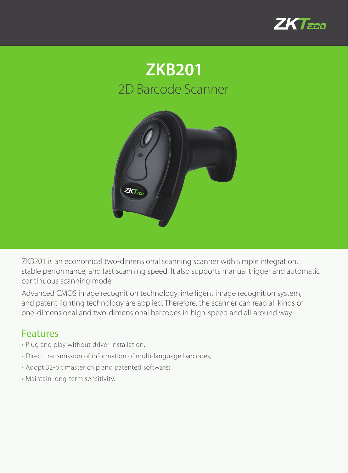





ZKB201 is an economical two-dimensional scanning scanner with simple integration, stable performance, and fast scanning speed. It also supports manual trigger and automatic continuous scanning mode.

Advanced CMOS image recognition technology, intelligent image recognition system, and patent lighting technology are applied. Therefore, the scanner can read all kinds of one-dimensional and two-dimensional barcodes in high-speed and all-around way.

## Features

- Plug and play without driver installation;
- Direct transmission of information of multi-language barcodes;
- Adopt 32-bit master chip and patented software;
- Maintain long-term sensitivity.